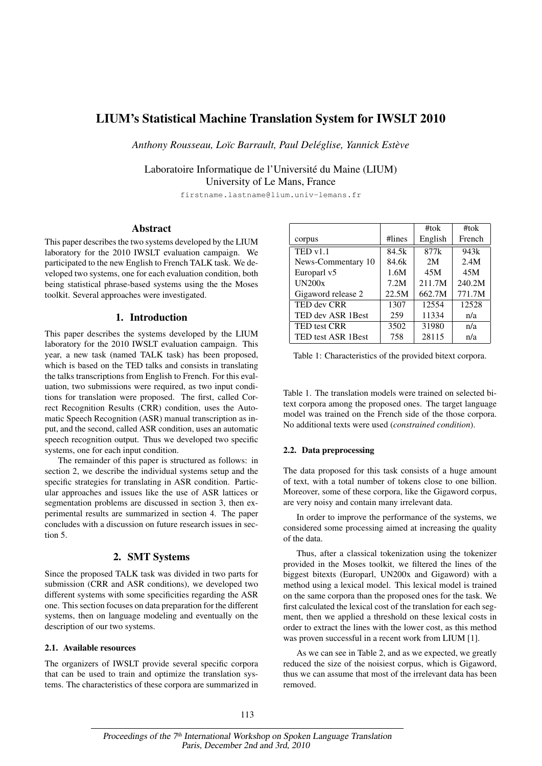# LIUM's Statistical Machine Translation System for IWSLT 2010

*Anthony Rousseau, Loïc Barrault, Paul Deléglise, Yannick Estève*

Laboratoire Informatique de l'Université du Maine (LIUM) University of Le Mans, France

firstname.lastname@lium.univ-lemans.fr

## **Abstract**

This paper describes the two systems developed by the LIUM laboratory for the 2010 IWSLT evaluation campaign. We participated to the new English to French TALK task. We developed two systems, one for each evaluation condition, both being statistical phrase-based systems using the the Moses toolkit. Several approaches were investigated.

# 1. Introduction

This paper describes the systems developed by the LIUM laboratory for the 2010 IWSLT evaluation campaign. This year, a new task (named TALK task) has been proposed, which is based on the TED talks and consists in translating the talks transcriptions from English to French. For this evaluation, two submissions were required, as two input conditions for translation were proposed. The first, called Correct Recognition Results (CRR) condition, uses the Automatic Speech Recognition (ASR) manual transcription as input, and the second, called ASR condition, uses an automatic speech recognition output. Thus we developed two specific systems, one for each input condition.

The remainder of this paper is structured as follows: in section 2, we describe the individual systems setup and the specific strategies for translating in ASR condition. Particular approaches and issues like the use of ASR lattices or segmentation problems are discussed in section 3, then experimental results are summarized in section 4. The paper concludes with a discussion on future research issues in section 5.

## 2. SMT Systems

Since the proposed TALK task was divided in two parts for submission (CRR and ASR conditions), we developed two different systems with some specificities regarding the ASR one. This section focuses on data preparation for the different systems, then on language modeling and eventually on the description of our two systems.

#### 2.1. Available resources

The organizers of IWSLT provide several specific corpora that can be used to train and optimize the translation systems. The characteristics of these corpora are summarized in

|                           |        | #tok    | #tok   |
|---------------------------|--------|---------|--------|
| corpus                    | #lines | English | French |
| TEDv1.1                   | 84.5k  | 877k    | 943k   |
| News-Commentary 10        | 84.6k  | 2M      | 2.4M   |
| Europarl v5               | 1.6M   | 45M     | 45M    |
| UN200x                    | 7.2M   | 211.7M  | 240.2M |
| Gigaword release 2        | 22.5M  | 662.7M  | 771.7M |
| TED dev CRR               | 1307   | 12554   | 12528  |
| TED dev ASR 1Best         | 259    | 11334   | n/a    |
| <b>TED test CRR</b>       | 3502   | 31980   | n/a    |
| <b>TED test ASR 1Best</b> | 758    | 28115   | n/a    |

Table 1: Characteristics of the provided bitext corpora.

Table 1. The translation models were trained on selected bitext corpora among the proposed ones. The target language model was trained on the French side of the those corpora. No additional texts were used (*constrained condition*).

#### 2.2. Data preprocessing

The data proposed for this task consists of a huge amount of text, with a total number of tokens close to one billion. Moreover, some of these corpora, like the Gigaword corpus, are very noisy and contain many irrelevant data.

In order to improve the performance of the systems, we considered some processing aimed at increasing the quality of the data.

Thus, after a classical tokenization using the tokenizer provided in the Moses toolkit, we filtered the lines of the biggest bitexts (Europarl, UN200x and Gigaword) with a method using a lexical model. This lexical model is trained on the same corpora than the proposed ones for the task. We first calculated the lexical cost of the translation for each segment, then we applied a threshold on these lexical costs in order to extract the lines with the lower cost, as this method was proven successful in a recent work from LIUM [1].

As we can see in Table 2, and as we expected, we greatly reduced the size of the noisiest corpus, which is Gigaword, thus we can assume that most of the irrelevant data has been removed.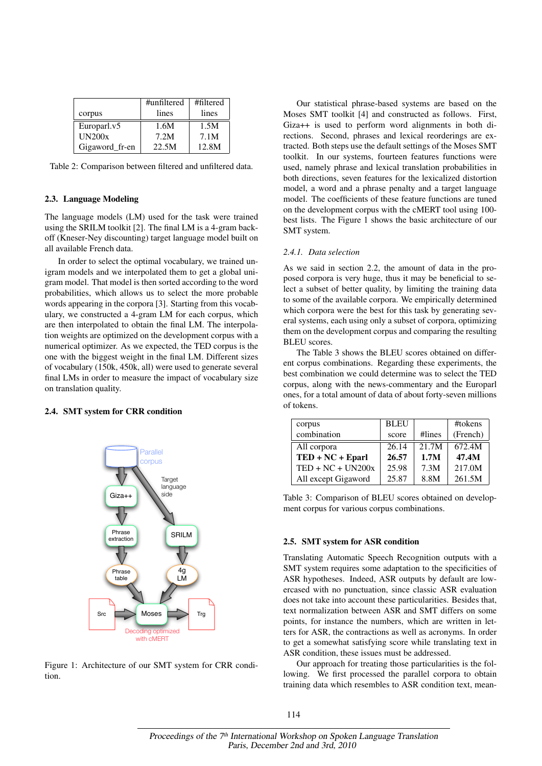|                | #unfiltered | #filtered |
|----------------|-------------|-----------|
| corpus         | lines       | lines     |
| Europarl.v5    | 1.6M        | 1.5M      |
| <b>UN200x</b>  | 7.2M        | 7.1M      |
| Gigaword_fr-en | 22.5M       | 12.8M     |

Table 2: Comparison between filtered and unfiltered data.

#### 2.3. Language Modeling

The language models (LM) used for the task were trained using the SRILM toolkit [2]. The final LM is a 4-gram backoff (Kneser-Ney discounting) target language model built on all available French data.

In order to select the optimal vocabulary, we trained unigram models and we interpolated them to get a global unigram model. That model is then sorted according to the word probabilities, which allows us to select the more probable words appearing in the corpora [3]. Starting from this vocabulary, we constructed a 4-gram LM for each corpus, which are then interpolated to obtain the final LM. The interpolation weights are optimized on the development corpus with a numerical optimizer. As we expected, the TED corpus is the one with the biggest weight in the final LM. Different sizes of vocabulary (150k, 450k, all) were used to generate several final LMs in order to measure the impact of vocabulary size on translation quality.

## 2.4. SMT system for CRR condition



Figure 1: Architecture of our SMT system for CRR condition.

Our statistical phrase-based systems are based on the Moses SMT toolkit [4] and constructed as follows. First, Giza++ is used to perform word alignments in both directions. Second, phrases and lexical reorderings are extracted. Both steps use the default settings of the Moses SMT toolkit. In our systems, fourteen features functions were used, namely phrase and lexical translation probabilities in both directions, seven features for the lexicalized distortion model, a word and a phrase penalty and a target language model. The coefficients of these feature functions are tuned on the development corpus with the cMERT tool using 100 best lists. The Figure 1 shows the basic architecture of our SMT system.

#### *2.4.1. Data selection*

As we said in section 2.2, the amount of data in the proposed corpora is very huge, thus it may be beneficial to select a subset of better quality, by limiting the training data to some of the available corpora. We empirically determined which corpora were the best for this task by generating several systems, each using only a subset of corpora, optimizing them on the development corpus and comparing the resulting BLEU scores.

The Table 3 shows the BLEU scores obtained on different corpus combinations. Regarding these experiments, the best combination we could determine was to select the TED corpus, along with the news-commentary and the Europarl ones, for a total amount of data of about forty-seven millions of tokens.

| corpus                                  | <b>BLEU</b> |        | #tokens  |
|-----------------------------------------|-------------|--------|----------|
| combination                             | score       | #lines | (French) |
| All corpora                             | 26.14       | 21.7M  | 672.4M   |
| $\text{TED} + \text{NC} + \text{Eparl}$ | 26.57       | 1.7M   | 47.4M    |
| $TED + NC + UN200x$                     | 25.98       | 7.3M   | 217.0M   |
| All except Gigaword                     | 25.87       | 8.8M   | 261.5M   |

Table 3: Comparison of BLEU scores obtained on development corpus for various corpus combinations.

#### 2.5. SMT system for ASR condition

Translating Automatic Speech Recognition outputs with a SMT system requires some adaptation to the specificities of ASR hypotheses. Indeed, ASR outputs by default are lowercased with no punctuation, since classic ASR evaluation does not take into account these particularities. Besides that, text normalization between ASR and SMT differs on some points, for instance the numbers, which are written in letters for ASR, the contractions as well as acronyms. In order to get a somewhat satisfying score while translating text in ASR condition, these issues must be addressed.

Our approach for treating those particularities is the following. We first processed the parallel corpora to obtain training data which resembles to ASR condition text, mean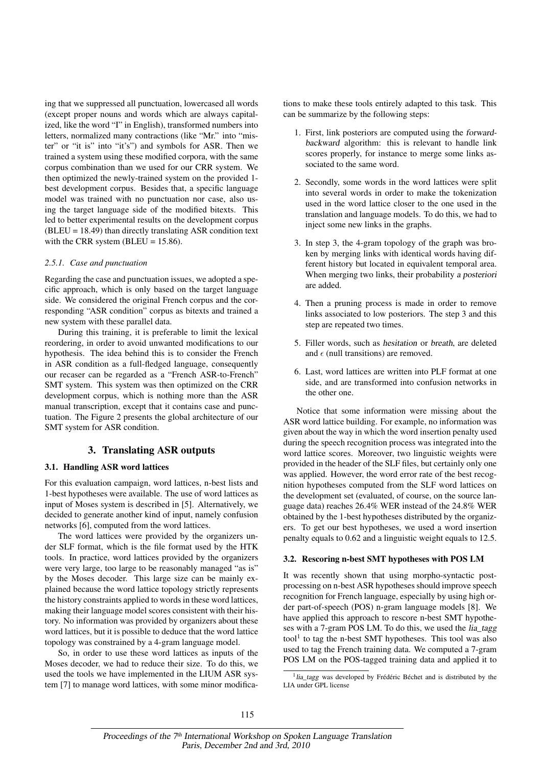ing that we suppressed all punctuation, lowercased all words (except proper nouns and words which are always capitalized, like the word "I" in English), transformed numbers into letters, normalized many contractions (like "Mr." into "mister" or "it is" into "it's") and symbols for ASR. Then we trained a system using these modified corpora, with the same corpus combination than we used for our CRR system. We then optimized the newly-trained system on the provided 1 best development corpus. Besides that, a specific language model was trained with no punctuation nor case, also using the target language side of the modified bitexts. This led to better experimental results on the development corpus  $(BLEU = 18.49)$  than directly translating ASR condition text with the CRR system (BLEU =  $15.86$ ).

## *2.5.1. Case and punctuation*

Regarding the case and punctuation issues, we adopted a specific approach, which is only based on the target language side. We considered the original French corpus and the corresponding "ASR condition" corpus as bitexts and trained a new system with these parallel data.

During this training, it is preferable to limit the lexical reordering, in order to avoid unwanted modifications to our hypothesis. The idea behind this is to consider the French in ASR condition as a full-fledged language, consequently our recaser can be regarded as a "French ASR-to-French" SMT system. This system was then optimized on the CRR development corpus, which is nothing more than the ASR manual transcription, except that it contains case and punctuation. The Figure 2 presents the global architecture of our SMT system for ASR condition.

## 3. Translating ASR outputs

#### 3.1. Handling ASR word lattices

For this evaluation campaign, word lattices, n-best lists and 1-best hypotheses were available. The use of word lattices as input of Moses system is described in [5]. Alternatively, we decided to generate another kind of input, namely confusion networks [6], computed from the word lattices.

The word lattices were provided by the organizers under SLF format, which is the file format used by the HTK tools. In practice, word lattices provided by the organizers were very large, too large to be reasonably managed "as is" by the Moses decoder. This large size can be mainly explained because the word lattice topology strictly represents the history constraints applied to words in these word lattices, making their language model scores consistent with their history. No information was provided by organizers about these word lattices, but it is possible to deduce that the word lattice topology was constrained by a 4-gram language model.

So, in order to use these word lattices as inputs of the Moses decoder, we had to reduce their size. To do this, we used the tools we have implemented in the LIUM ASR system [7] to manage word lattices, with some minor modifications to make these tools entirely adapted to this task. This can be summarize by the following steps:

- 1. First, link posteriors are computed using the forwardbackward algorithm: this is relevant to handle link scores properly, for instance to merge some links associated to the same word.
- 2. Secondly, some words in the word lattices were split into several words in order to make the tokenization used in the word lattice closer to the one used in the translation and language models. To do this, we had to inject some new links in the graphs.
- 3. In step 3, the 4-gram topology of the graph was broken by merging links with identical words having different history but located in equivalent temporal area. When merging two links, their probability a posteriori are added.
- 4. Then a pruning process is made in order to remove links associated to low posteriors. The step 3 and this step are repeated two times.
- 5. Filler words, such as hesitation or breath, are deleted and  $\epsilon$  (null transitions) are removed.
- 6. Last, word lattices are written into PLF format at one side, and are transformed into confusion networks in the other one.

Notice that some information were missing about the ASR word lattice building. For example, no information was given about the way in which the word insertion penalty used during the speech recognition process was integrated into the word lattice scores. Moreover, two linguistic weights were provided in the header of the SLF files, but certainly only one was applied. However, the word error rate of the best recognition hypotheses computed from the SLF word lattices on the development set (evaluated, of course, on the source language data) reaches 26.4% WER instead of the 24.8% WER obtained by the 1-best hypotheses distributed by the organizers. To get our best hypotheses, we used a word insertion penalty equals to 0.62 and a linguistic weight equals to 12.5.

#### 3.2. Rescoring n-best SMT hypotheses with POS LM

It was recently shown that using morpho-syntactic postprocessing on n-best ASR hypotheses should improve speech recognition for French language, especially by using high order part-of-speech (POS) n-gram language models [8]. We have applied this approach to rescore n-best SMT hypotheses with a 7-gram POS LM. To do this, we used the lia\_tagg tool<sup>1</sup> to tag the n-best SMT hypotheses. This tool was also used to tag the French training data. We computed a 7-gram POS LM on the POS-tagged training data and applied it to

<sup>&</sup>lt;sup>1</sup> lia\_tagg was developed by Frédéric Béchet and is distributed by the LIA under GPL license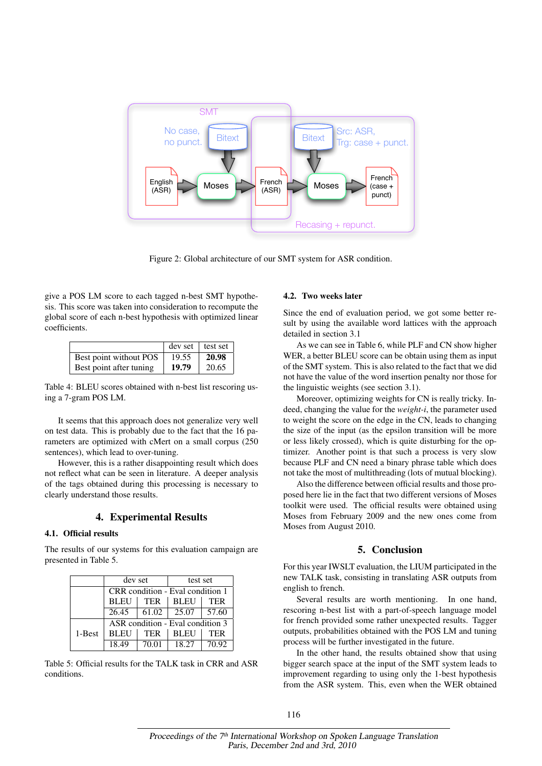

Figure 2: Global architecture of our SMT system for ASR condition.

give a POS LM score to each tagged n-best SMT hypothesis. This score was taken into consideration to recompute the global score of each n-best hypothesis with optimized linear coefficients.

|                         | $dev set$ lest set |       |
|-------------------------|--------------------|-------|
| Best point without POS  | 19.55              | 20.98 |
| Best point after tuning | 19.79              | 20.65 |

Table 4: BLEU scores obtained with n-best list rescoring using a 7-gram POS LM.

It seems that this approach does not generalize very well on test data. This is probably due to the fact that the 16 parameters are optimized with cMert on a small corpus (250 sentences), which lead to over-tuning.

However, this is a rather disappointing result which does not reflect what can be seen in literature. A deeper analysis of the tags obtained during this processing is necessary to clearly understand those results.

# 4. Experimental Results

## 4.1. Official results

The results of our systems for this evaluation campaign are presented in Table 5.

|        | dev set                          |            | test set    |            |  |
|--------|----------------------------------|------------|-------------|------------|--|
|        | CRR condition - Eval condition 1 |            |             |            |  |
|        | BLEU                             | <b>TER</b> | <b>BLEU</b> | <b>TER</b> |  |
|        | 26.45                            | 61.02      | 25.07       | 57.60      |  |
|        | ASR condition - Eval condition 3 |            |             |            |  |
| 1-Best | <b>BLEU</b>                      | <b>TER</b> | <b>BLEU</b> | <b>TER</b> |  |
|        | 18.49                            | 70.01      | 18.27       | 70.92      |  |

Table 5: Official results for the TALK task in CRR and ASR conditions.

#### 4.2. Two weeks later

Since the end of evaluation period, we got some better result by using the available word lattices with the approach detailed in section 3.1

As we can see in Table 6, while PLF and CN show higher WER, a better BLEU score can be obtain using them as input of the SMT system. This is also related to the fact that we did not have the value of the word insertion penalty nor those for the linguistic weights (see section 3.1).

Moreover, optimizing weights for CN is really tricky. Indeed, changing the value for the *weight-i*, the parameter used to weight the score on the edge in the CN, leads to changing the size of the input (as the epsilon transition will be more or less likely crossed), which is quite disturbing for the optimizer. Another point is that such a process is very slow because PLF and CN need a binary phrase table which does not take the most of multithreading (lots of mutual blocking).

Also the difference between official results and those proposed here lie in the fact that two different versions of Moses toolkit were used. The official results were obtained using Moses from February 2009 and the new ones come from Moses from August 2010.

#### 5. Conclusion

For this year IWSLT evaluation, the LIUM participated in the new TALK task, consisting in translating ASR outputs from english to french.

Several results are worth mentioning. In one hand, rescoring n-best list with a part-of-speech language model for french provided some rather unexpected results. Tagger outputs, probabilities obtained with the POS LM and tuning process will be further investigated in the future.

In the other hand, the results obtained show that using bigger search space at the input of the SMT system leads to improvement regarding to using only the 1-best hypothesis from the ASR system. This, even when the WER obtained